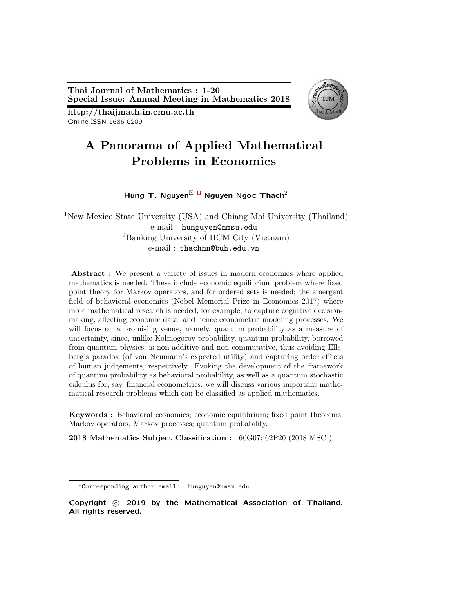**Thai Journal of Mathematics : 1-20 Special Issue: Annual Meeting in Mathematics 2018**



**http://thaijmath.in.cmu.ac.th** Online ISSN 1686-0209

# **A Panorama of Applied Mathematical Problems in Economics**

**Hung T. Nguyen**<sup>⊠</sup> [1](#page-0-0) **Nguyen Ngoc Thach**<sup>2</sup>

<sup>1</sup>New Mexico State University (USA) and Chiang Mai University (Thailand) e-mail : hunguyen@nmsu.edu <sup>2</sup>Banking University of HCM City (Vietnam) e-mail : thachnn@buh.edu.vn

**Abstract :** We present a variety of issues in modern economics where applied mathematics is needed. These include economic equilibrium problem where fixed point theory for Markov operators, and for ordered sets is needed; the emergent field of behavioral economics (Nobel Memorial Prize in Economics 2017) where more mathematical research is needed, for example, to capture cognitive decisionmaking, affecting economic data, and hence econometric modeling processes. We will focus on a promising venue, namely, quantum probability as a measure of uncertainty, since, unlike Kolmogorov probability, quantum probability, borrowed from quantum physics, is non-additive and non-commutative, thus avoiding Ellsberg's paradox (of von Neumann's expected utility) and capturing order effects of human judgements, respectively. Evoking the development of the framework of quantum probability as behavioral probability, as well as a quantum stochastic calculus for, say, financial econometrics, we will discuss various important mathematical research problems which can be classified as applied mathematics.

**Keywords :** Behavioral economics; economic equilibrium; fixed point theorems; Markov operators, Markov processes; quantum probability.

**2018 Mathematics Subject Classification :** 60G07; 62P20 (2018 MSC )

**Copyright** *⃝*c **2019 by the Mathematical Association of Thailand. All rights reserved.**

<span id="page-0-0"></span> $1$ Corresponding author email: hunguyen@nmsu.edu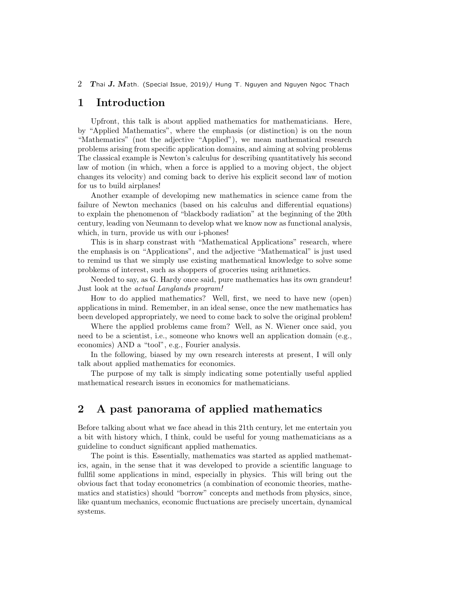## **1 Introduction**

Upfront, this talk is about applied mathematics for mathematicians. Here, by "Applied Mathematics", where the emphasis (or distinction) is on the noun "Mathematics" (not the adjective "Applied"), we mean mathematical research problems arising from specific application domains, and aiming at solving problems The classical example is Newton's calculus for describing quantitatively his second law of motion (in which, when a force is applied to a moving object, the object changes its velocity) and coming back to derive his explicit second law of motion for us to build airplanes!

Another example of developimg new mathematics in science came from the failure of Newton mechanics (based on his calculus and differential equations) to explain the phenomenon of "blackbody radiation" at the beginning of the 20th century, leading von Neumann to develop what we know now as functional analysis, which, in turn, provide us with our i-phones!

This is in sharp constrast with "Mathematical Applications" research, where the emphasis is on "Applications", and the adjective "Mathematical" is just used to remind us that we simply use existing mathematical knowledge to solve some probkems of interest, such as shoppers of groceries using arithmetics.

Needed to say, as G. Hardy once said, pure mathematics has its own grandeur! Just look at the *actual Langlands program!*

How to do applied mathematics? Well, first, we need to have new (open) applications in mind. Remember, in an ideal sense, once the new mathematics has been developed appropriately, we need to come back to solve the original problem!

Where the applied problems came from? Well, as N. Wiener once said, you need to be a scientist, i.e., someone who knows well an application domain (e.g., economics) AND a "tool", e.g., Fourier analysis.

In the following, biased by my own research interests at present, I will only talk about applied mathematics for economics.

The purpose of my talk is simply indicating some potentially useful applied mathematical research issues in economics for mathematicians.

## **2 A past panorama of applied mathematics**

Before talking about what we face ahead in this 21th century, let me entertain you a bit with history which, I think, could be useful for young mathematicians as a guideline to conduct significant applied mathematics.

The point is this. Essentially, mathematics was started as applied mathematics, again, in the sense that it was developed to provide a scientific language to fullfil some applications in mind, especially in physics. This will bring out the obvious fact that today econometrics (a combination of economic theories, mathematics and statistics) should "borrow" concepts and methods from physics, since, like quantum mechanics, economic fluctuations are precisely uncertain, dynamical systems.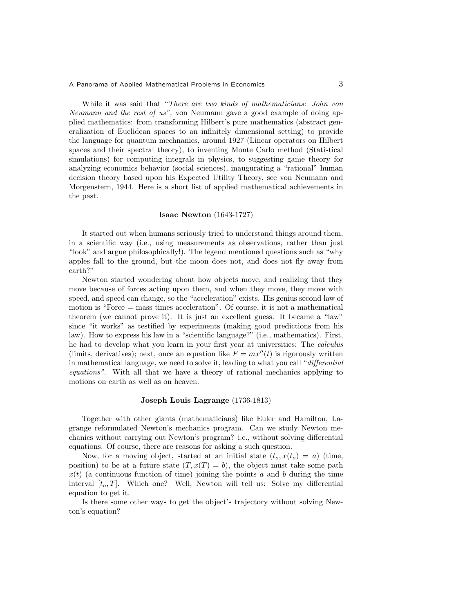While it was said that "*There are two kinds of mathematicians: John von Neumann and the rest of us",* von Neumann gave a good example of doing applied mathematics: from transforming Hilbert's pure mathematics (abstract generalization of Euclidean spaces to an infinitely dimensional setting) to provide the language for quantum mechnanics, around 1927 (Linear operators on Hilbert spaces and their spectral theory), to inventing Monte Carlo method (Statistical simulations) for computing integrals in physics, to suggesting game theory for analyzing economics behavior (social sciences), inaugurating a "rational" human decision theory based upon his Expected Utility Theory, see von Neumann and Morgenstern, 1944. Here is a short list of applied mathematical achievements in the past.

#### **Isaac Newton** (1643-1727)

It started out when humans seriously tried to understand things around them, in a scientific way (i.e., using measurements as observations, rather than just "look" and argue philosophically!). The legend mentioned questions such as "why apples fall to the ground, but the moon does not, and does not fly away from earth?"

Newton started wondering about how objects move, and realizing that they move because of forces acting upon them, and when they move, they move with speed, and speed can change, so the "acceleration" exists. His genius second law of motion is "Force = mass times acceleration". Of course, it is not a mathematical theorem (we cannot prove it). It is just an excellent guess. It became a "law" since "it works" as testified by experiments (making good predictions from his law). How to express his law in a "scientific language?" (i.e., mathematics). First, he had to develop what you learn in your first year at universities: The *calculus* (limits, derivatives); next, once an equation like  $F = mx''(t)$  is rigorously written in mathematical language, we need to solve it, leading to what you call "*differential equations"*. With all that we have a theory of rational mechanics applying to motions on earth as well as on heaven.

#### **Joseph Louis Lagrange** (1736-1813)

Together with other giants (mathematicians) like Euler and Hamilton, Lagrange reformulated Newton's mechanics program. Can we study Newton mechanics without carrying out Newton's program? i.e., without solving differential equations. Of course, there are reasons for asking a such question.

Now, for a moving object, started at an initial state  $(t_o, x(t_o) = a)$  (time, position) to be at a future state  $(T, x(T) = b)$ , the object must take some path  $x(t)$  (a continuous function of time) joining the points *a* and *b* during the time interval [*to, T*]. Which one? Well, Newton will tell us: Solve my differential equation to get it.

Is there some other ways to get the object's trajectory without solving Newton's equation?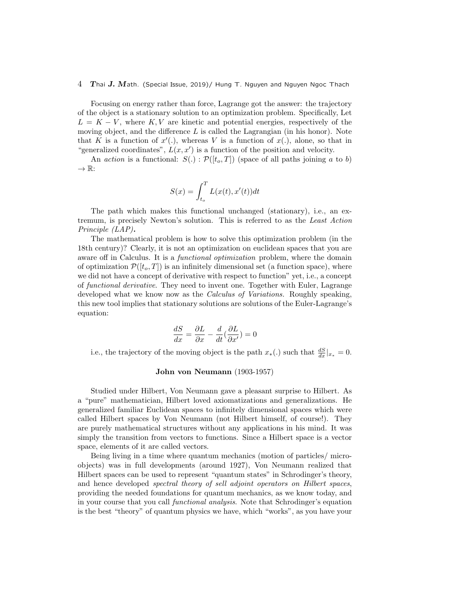Focusing on energy rather than force, Lagrange got the answer: the trajectory of the object is a stationary solution to an optimization problem. Specifically, Let  $L = K - V$ , where  $K, V$  are kinetic and potential energies, respectively of the moving object, and the difference *L* is called the Lagrangian (in his honor). Note that *K* is a function of  $x'$ ., whereas *V* is a function of  $x$ ., alone, so that in "generalized coordinates",  $L(x, x')$  is a function of the position and velocity.

An *action* is a functional:  $S(.) : \mathcal{P}([t_o, T])$  (space of all paths joining *a* to *b*) *→* R:

$$
S(x) = \int_{t_o}^{T} L(x(t), x'(t))dt
$$

The path which makes this functional unchanged (stationary), i.e., an extremum, is precisely Newton's solution. This is referred to as the *Least Action Principle (LAP)***.**

The mathematical problem is how to solve this optimization problem (in the 18th century)? Clearly, it is not an optimization on euclidean spaces that you are aware off in Calculus. It is a *functional optimization* problem, where the domain of optimization  $\mathcal{P}([t_o, T])$  is an infinitely dimensional set (a function space), where we did not have a concept of derivative with respect to function" yet, i.e., a concept of *functional derivative*. They need to invent one. Together with Euler, Lagrange developed what we know now as the *Calculus of Variations.* Roughly speaking, this new tool implies that stationary solutions are solutions of the Euler-Lagrange's equation:

$$
\frac{dS}{dx}=\frac{\partial L}{\partial x}-\frac{d}{dt}(\frac{\partial L}{\partial x'})=0
$$

i.e., the trajectory of the moving object is the path  $x_*(.)$  such that  $\frac{dS}{dx}|_{x_*} = 0$ .

#### **John von Neumann** (1903-1957)

Studied under Hilbert, Von Neumann gave a pleasant surprise to Hilbert. As a "pure" mathematician, Hilbert loved axiomatizations and generalizations. He generalized familiar Euclidean spaces to infinitely dimensional spaces which were called Hilbert spaces by Von Neumann (not Hilbert himself, of course!). They are purely mathematical structures without any applications in his mind. It was simply the transition from vectors to functions. Since a Hilbert space is a vector space, elements of it are called vectors.

Being living in a time where quantum mechanics (motion of particles/ microobjects) was in full developments (around 1927), Von Neumann realized that Hilbert spaces can be used to represent "quantum states" in Schrodinger's theory, and hence developed *spectral theory of sell adjoint operators on Hilbert spaces*, providing the needed foundations for quantum mechanics, as we know today, and in your course that you call *functional analysis*. Note that Schrodinger's equation is the best "theory" of quantum physics we have, which "works", as you have your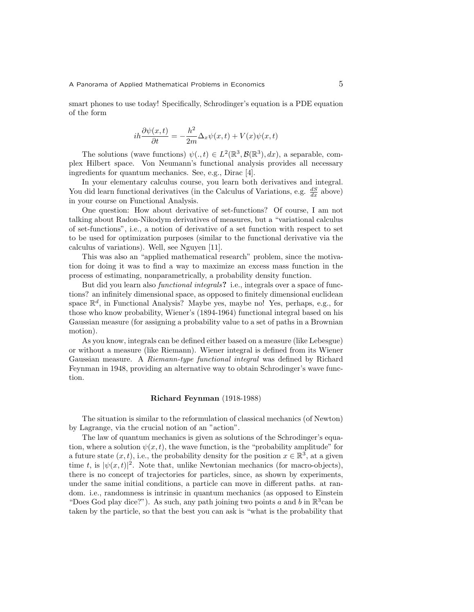smart phones to use today! Specifically, Schrodinger's equation is a PDE equation of the form

$$
i\hbar \frac{\partial \psi(x,t)}{\partial t} = -\frac{\hbar^2}{2m} \Delta_x \psi(x,t) + V(x)\psi(x,t)
$$

The solutions (wave functions)  $\psi(.,t) \in L^2(\mathbb{R}^3, \mathcal{B}(\mathbb{R}^3), dx)$ , a separable, complex Hilbert space. Von Neumann's functional analysis provides all necessary ingredients for quantum mechanics. See, e.g., Dirac [4].

In your elementary calculus course, you learn both derivatives and integral. You did learn functional derivatives (in the Calculus of Variations, e.g.  $\frac{dS}{dx}$  above) in your course on Functional Analysis.

One question: How about derivative of set-functions? Of course, I am not talking about Radon-Nikodym derivatives of measures, but a "variational calculus of set-functions", i.e., a notion of derivative of a set function with respect to set to be used for optimization purposes (similar to the functional derivative via the calculus of variations). Well, see Nguyen [11].

This was also an "applied mathematical research" problem, since the motivation for doing it was to find a way to maximize an excess mass function in the process of estimating, nonparametrically, a probability density function.

But did you learn also *functional integrals***?** i.e., integrals over a space of functions? an infinitely dimensional space, as opposed to finitely dimensional euclidean space  $\mathbb{R}^d$ , in Functional Analysis? Maybe yes, maybe no! Yes, perhaps, e.g., for those who know probability, Wiener's (1894-1964) functional integral based on his Gaussian measure (for assigning a probability value to a set of paths in a Brownian motion).

As you know, integrals can be defined either based on a measure (like Lebesgue) or without a measure (like Riemann). Wiener integral is defined from its Wiener Gaussian measure. A *Riemann-type functional integral* was defined by Richard Feynman in 1948, providing an alternative way to obtain Schrodinger's wave function.

### **Richard Feynman** (1918-1988)

The situation is similar to the reformulation of classical mechanics (of Newton) by Lagrange, via the crucial notion of an "action".

The law of quantum mechanics is given as solutions of the Schrodinger's equation, where a solution  $\psi(x, t)$ , the wave function, is the "probability amplitude" for a future state  $(x, t)$ , i.e., the probability density for the position  $x \in \mathbb{R}^3$ , at a given time *t*, is  $|\psi(x, t)|^2$ . Note that, unlike Newtonian mechanics (for macro-objects), there is no concept of trajectories for particles, since, as shown by experiments, under the same initial conditions, a particle can move in different paths. at random. i.e., randomness is intrinsic in quantum mechanics (as opposed to Einstein "Does God play dice?"). As such, any path joining two points *a* and *b* in  $\mathbb{R}^3$  can be taken by the particle, so that the best you can ask is "what is the probability that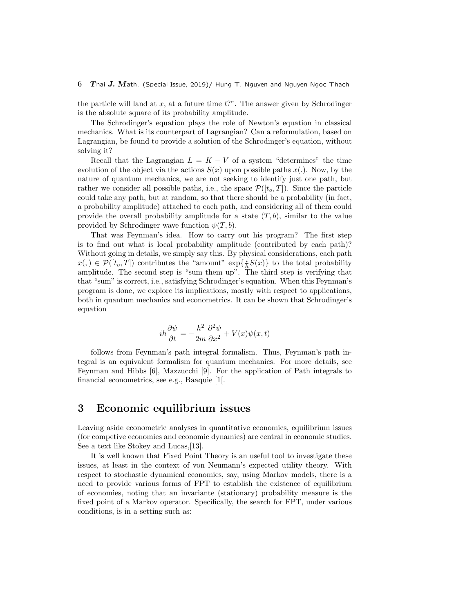the particle will land at *x*, at a future time *t*?". The answer given by Schrodinger is the absolute square of its probability amplitude.

The Schrodinger's equation plays the role of Newton's equation in classical mechanics. What is its counterpart of Lagrangian? Can a reformulation, based on Lagrangian, be found to provide a solution of the Schrodinger's equation, without solving it?

Recall that the Lagrangian  $L = K - V$  of a system "determines" the time evolution of the object via the actions  $S(x)$  upon possible paths  $x(.)$ . Now, by the nature of quantum mechanics, we are not seeking to identify just one path, but rather we consider all possible paths, i.e., the space  $\mathcal{P}([t_o, T])$ . Since the particle could take any path, but at random, so that there should be a probability (in fact, a probability amplitude) attached to each path, and considering all of them could provide the overall probability amplitude for a state  $(T, b)$ , similar to the value provided by Schrodinger wave function  $\psi(T, b)$ .

That was Feynman's idea. How to carry out his program? The first step is to find out what is local probability amplitude (contributed by each path)? Without going in details, we simply say this. By physical considerations, each path *x*(*,*) ∈  $\mathcal{P}([t_o, T])$  contributes the "amount" exp{ $\frac{i}{h}S(x)$ } to the total probability amplitude. The second step is "sum them up". The third step is verifying that that "sum" is correct, i.e., satisfying Schrodinger's equation. When this Feynman's program is done, we explore its implications, mostly with respect to applications, both in quantum mechanics and econometrics. It can be shown that Schrodinger's equation

$$
i h \frac{\partial \psi}{\partial t} = -\frac{h^2}{2m} \frac{\partial^2 \psi}{\partial x^2} + V(x) \psi(x, t)
$$

follows from Feynman's path integral formalism. Thus, Feynman's path integral is an equivalent formalism for quantum mechanics. For more details, see Feynman and Hibbs [6], Mazzucchi [9]. For the application of Path integrals to financial econometrics, see e.g., Baaquie [1[.

## **3 Economic equilibrium issues**

Leaving aside econometric analyses in quantitative economics, equilibrium issues (for competive economies and economic dynamics) are central in economic studies. See a text like Stokey and Lucas,[13].

It is well known that Fixed Point Theory is an useful tool to investigate these issues, at least in the context of von Neumann's expected utility theory. With respect to stochastic dynamical economies, say, using Markov models, there is a need to provide various forms of FPT to establish the existence of equilibrium of economies, noting that an invariante (stationary) probability measure is the fixed point of a Markov operator. Specifically, the search for FPT, under various conditions, is in a setting such as: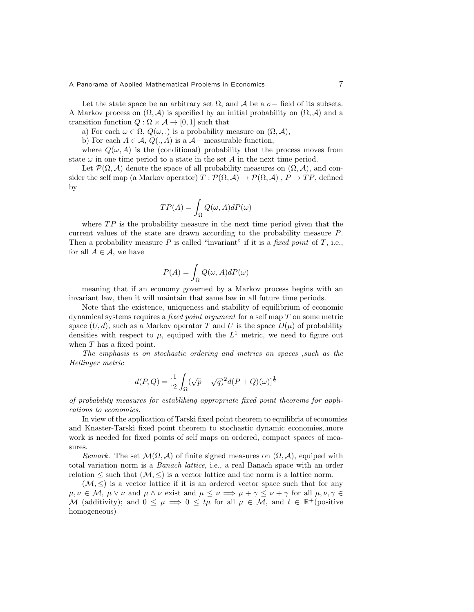Let the state space be an arbitrary set  $\Omega$ , and  $\mathcal A$  be a  $\sigma$ -field of its subsets. A Markov process on  $(\Omega, \mathcal{A})$  is specified by an initial probability on  $(\Omega, \mathcal{A})$  and a transition function  $Q : \Omega \times A \rightarrow [0, 1]$  such that

a) For each  $\omega \in \Omega$ ,  $Q(\omega,.)$  is a probability measure on  $(\Omega, \mathcal{A}),$ 

b) For each  $A \in \mathcal{A}$ ,  $Q(., A)$  is a  $\mathcal{A}$ − measurable function,

where  $Q(\omega, A)$  is the (conditional) probability that the process moves from state  $\omega$  in one time period to a state in the set *A* in the next time period.

Let  $\mathcal{P}(\Omega, \mathcal{A})$  denote the space of all probability measures on  $(\Omega, \mathcal{A})$ , and consider the self map (a Markov operator)  $T : \mathcal{P}(\Omega, \mathcal{A}) \to \mathcal{P}(\Omega, \mathcal{A})$ ,  $P \to TP$ , defined by

$$
TP(A) = \int_{\Omega} Q(\omega, A) dP(\omega)
$$

where *TP* is the probability measure in the next time period given that the current values of the state are drawn according to the probability measure *P*. Then a probability measure *P* is called "invariant" if it is a *fixed point* of *T*, i.e., for all  $A \in \mathcal{A}$ , we have

$$
P(A)=\int_{\Omega}Q(\omega,A)dP(\omega)
$$

meaning that if an economy governed by a Markov process begins with an invariant law, then it will maintain that same law in all future time periods.

Note that the existence, uniqueness and stability of equilibrium of economic dynamical systems requires a *fixed point argument* for a self map *T* on some metric space  $(U, d)$ , such as a Markov operator *T* and *U* is the space  $D(\mu)$  of probability densities with respect to  $\mu$ , equiped with the  $L^1$  metric, we need to figure out when *T* has a fixed point.

*The emphasis is on stochastic ordering and metrics on spaces ,such as the Hellinger metric*

$$
d(P,Q) = \left[\frac{1}{2}\int_{\Omega} (\sqrt{p} - \sqrt{q})^2 d(P+Q)(\omega)\right]^{\frac{1}{2}}
$$

*of probability measures for establihing appropriate fixed point theorems for applications to economics.*

In view of the application of Tarski fixed point theorem to equilibria of economies and Knaster-Tarski fixed point theorem to stochastic dynamic economies,.more work is needed for fixed points of self maps on ordered, compact spaces of measures.

*Remark.* The set  $\mathcal{M}(\Omega, \mathcal{A})$  of finite signed measures on  $(\Omega, \mathcal{A})$ , equiped with total variation norm is a *Banach lattice*, i.e., a real Banach space with an order relation  $\leq$  such that  $(\mathcal{M}, \leq)$  is a vector lattice and the norm is a lattice norm.

 $(M, \leq)$  is a vector lattice if it is an ordered vector space such that for any  $\mu, \nu \in \mathcal{M}, \ \mu \vee \nu \text{ and } \mu \wedge \nu \text{ exist and } \mu \leq \nu \implies \mu + \gamma \leq \nu + \gamma \text{ for all } \mu, \nu, \gamma \in \mathcal{M}$ *M* (additivity); and  $0 \leq \mu \implies 0 \leq t\mu$  for all  $\mu \in \mathcal{M}$ , and  $t \in \mathbb{R}^+$  (positive homogeneous)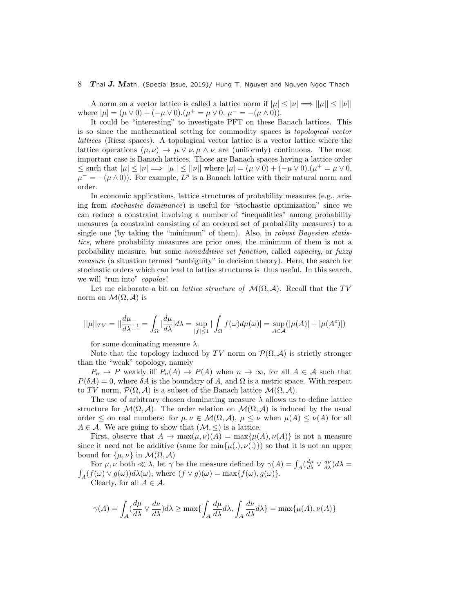A norm on a vector lattice is called a lattice norm if  $|\mu| \leq |\nu| \Longrightarrow ||\mu|| \leq ||\nu||$ where  $|\mu| = (\mu \vee 0) + (-\mu \vee 0) \cdot (\mu^+ = \mu \vee 0, \ \mu^- = -(\mu \wedge 0)).$ 

It could be "interesting" to investigate PFT on these Banach lattices. This is so since the mathematical setting for commodity spaces is *topological vector lattices* (Riesz spaces). A topological vector lattice is a vector lattice where the lattice operations  $(\mu, \nu) \rightarrow \mu \lor \nu, \mu \land \nu$  are (uniformly) continuous. The most important case is Banach lattices. Those are Banach spaces having a lattice order  $\leq$  such that  $|\mu| \leq |\nu| \Longrightarrow ||\mu|| \leq ||\nu||$  where  $|\mu| = (\mu \vee 0) + (-\mu \vee 0).(\mu^+ = \mu \vee 0,$  $\mu^- = -(\mu \wedge 0)$ . For example,  $L^p$  is a Banach lattice with their natural norm and order.

In economic applications, lattice structures of probability measures (e.g., arising from *stochastic dominance*) is useful for "stochastic optimization" since we can reduce a constraint involving a number of "inequalities" among probability measures (a constraint consisting of an ordered set of probability measures) to a single one (by taking the "minimum" of them). Also, in *robust Bayesian statistics*, where probability measures are prior ones, the minimum of them is not a probability measure, but some *nonadditive set function*, called *capacity*, or *fuzzy measure* (a situation termed "ambiguity" in decision theory). Here, the search for stochastic orders which can lead to lattice structures is thus useful. In this search, we will "run into" *copulas*!

Let me elaborate a bit on *lattice structure of*  $\mathcal{M}(\Omega, \mathcal{A})$ . Recall that the *TV* norm on  $\mathcal{M}(\Omega, \mathcal{A})$  is

$$
||\mu||_{TV}=||\frac{d\mu}{d\lambda}||_1=\int_{\Omega}|\frac{d\mu}{d\lambda}|d\lambda=\sup_{|f|\leq 1}|\int_{\Omega}f(\omega)d\mu(\omega)|=\sup_{A\in\mathcal{A}}(|\mu(A)|+|\mu(A^c)|)
$$

for some dominating measure *λ*.

Note that the topology induced by *TV* norm on  $\mathcal{P}(\Omega, \mathcal{A})$  is strictly stronger than the "weak" topology, namely

 $P_n \to P$  weakly iff  $P_n(A) \to P(A)$  when  $n \to \infty$ , for all  $A \in \mathcal{A}$  such that  $P(\delta A) = 0$ , where  $\delta A$  is the boundary of *A*, and  $\Omega$  is a metric space. With respect to *TV* norm,  $\mathcal{P}(\Omega, \mathcal{A})$  is a subset of the Banach lattice  $\mathcal{M}(\Omega, \mathcal{A})$ .

The use of arbitrary chosen dominating measure  $\lambda$  allows us to define lattice structure for  $\mathcal{M}(\Omega, \mathcal{A})$ . The order relation on  $\mathcal{M}(\Omega, \mathcal{A})$  is induced by the usual order  $\leq$  on real numbers: for  $\mu, \nu \in \mathcal{M}(\Omega, \mathcal{A}), \mu \leq \nu$  when  $\mu(A) \leq \nu(A)$  for all  $A \in \mathcal{A}$ . We are going to show that  $(\mathcal{M}, \leq)$  is a lattice.

First, observe that  $A \to \max(\mu, \nu)(A) = \max\{\mu(A), \nu(A)\}\$ is not a measure since it need not be additive (same for  $\min{\{\mu(.), \nu(.)\}}$ ) so that it is not an upper bound for  $\{\mu, \nu\}$  in  $\mathcal{M}(\Omega, \mathcal{A})$ 

For  $\mu, \nu$  both  $\ll \lambda$ , let  $\gamma$  be the measure defined by  $\gamma(A) = \int_A (\frac{d\mu}{d\lambda} \vee \frac{d\nu}{d\lambda}) d\lambda = \int_A (f(\omega) \vee g(\omega)) d\lambda(\omega)$ , where  $(f \vee g)(\omega) = \max\{f(\omega), g(\omega)\}\.$  $A_A(f(\omega) \vee g(\omega))d\lambda(\omega)$ , where  $(f \vee g)(\omega) = \max\{f(\omega), g(\omega)\}.$ Clearly, for all  $A \in \mathcal{A}$ .

$$
\gamma(A) = \int_A \left(\frac{d\mu}{d\lambda} \vee \frac{d\nu}{d\lambda}\right) d\lambda \ge \max\left\{\int_A \frac{d\mu}{d\lambda} d\lambda, \int_A \frac{d\nu}{d\lambda} d\lambda\right\} = \max\{\mu(A), \nu(A)\}
$$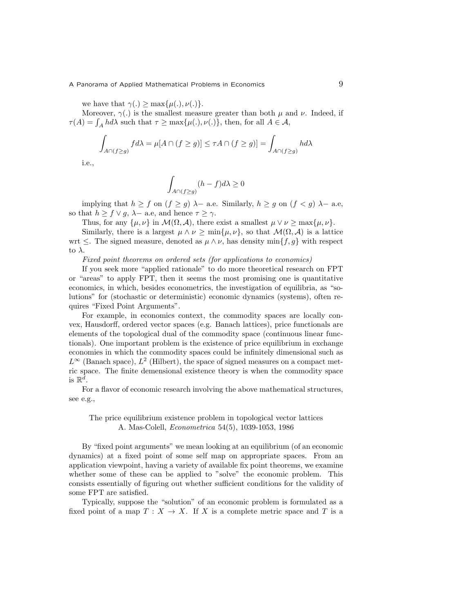we have that  $\gamma(.) > \max\{\mu(.) , \nu(.)\}$ .

Moreover,  $\gamma(.)$  is the smallest measure greater than both  $\mu$  and  $\nu$ . Indeed, if *τ*(*A*) =  $\int_A h d\lambda$  such that  $\tau \ge \max\{\mu(.) \mid \nu(.)\}$ , then, for all  $A \in \mathcal{A}$ ,

$$
\int_{A \cap (f \ge g)} f d\lambda = \mu[A \cap (f \ge g)] \le \tau A \cap (f \ge g)] = \int_{A \cap (f \ge g)} h d\lambda
$$

i.e.,

$$
\int_{A \cap (f \ge g)} (h - f) d\lambda \ge 0
$$

implying that  $h \geq f$  on  $(f \geq g)$   $\lambda$ *-* a.e. Similarly,  $h \geq g$  on  $(f < g)$   $\lambda$ *-* a.e, so that  $h \geq f \vee g$ ,  $\lambda$ *-* a.e, and hence  $\tau \geq \gamma$ .

Thus, for any  $\{\mu, \nu\}$  in  $\mathcal{M}(\Omega, \mathcal{A})$ , there exist a smallest  $\mu \vee \nu \ge \max\{\mu, \nu\}$ .

Similarly, there is a largest  $\mu \wedge \nu \ge \min{\{\mu, \nu\}}$ , so that  $\mathcal{M}(\Omega, \mathcal{A})$  is a lattice wrt  $\leq$ . The signed measure, denoted as  $\mu \wedge \nu$ , has density min $\{f, g\}$  with respect to *λ*.

#### *Fixed point theorems on ordered sets (for applications to economics)*

If you seek more "applied rationale" to do more theoretical research on FPT or "areas" to apply FPT, then it seems the most promising one is quantitative economics, in which, besides econometrics, the investigation of equilibria, as "solutions" for (stochastic or deterministic) economic dynamics (systems), often requires "Fixed Point Arguments".

For example, in economics context, the commodity spaces are locally convex, Hausdorff, ordered vector spaces (e.g. Banach lattices), price functionals are elements of the topological dual of the commodity space (continuous linear functionals). One important problem is the existence of price equilibrium in exchange economies in which the commodity spaces could be infinitely dimensional such as  $L^{\infty}$  (Banach space),  $L^2$  (Hilbert), the space of signed measures on a compact metric space. The finite demensional existence theory is when the commodity space is  $\mathbb{R}^d$ .

For a flavor of economic research involving the above mathematical structures, see e.g.,

### The price equilibrium existence problem in topological vector lattices A. Mas-Colell, *Econometrica* 54(5), 1039-1053, 1986

By "fixed point arguments" we mean looking at an equilibrium (of an economic dynamics) at a fixed point of some self map on appropriate spaces. From an application viewpoint, having a variety of available fix point theorems, we examine whether some of these can be applied to "solve" the economic problem. This consists essentially of figuring out whether sufficient conditions for the validity of some FPT are satisfied.

Typically, suppose the "solution" of an economic problem is formulated as a fixed point of a map  $T : X \to X$ . If X is a complete metric space and T is a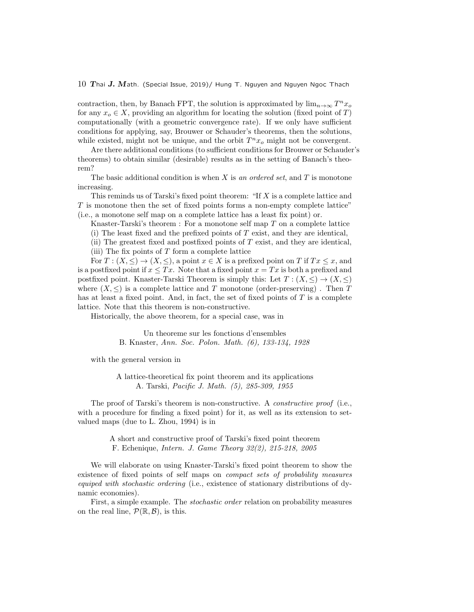contraction, then, by Banach FPT, the solution is approximated by  $\lim_{n\to\infty} T^n x_o$ for any  $x_o \in X$ , providing an algorithm for locating the solution (fixed point of *T*) computationally (with a geometric convergence rate). If we only have sufficient conditions for applying, say, Brouwer or Schauder's theorems, then the solutions, while existed, might not be unique, and the orbit  $T^n x_o$  might not be convergent.

Are there additional conditions (to sufficient conditions for Brouwer or Schauder's theorems) to obtain similar (desirable) results as in the setting of Banach's theorem?

The basic additional condition is when *X* is *an ordered set*, and *T* is monotone increasing.

This reminds us of Tarski's fixed point theorem: "If *X* is a complete lattice and *T* is monotone then the set of fixed points forms a non-empty complete lattice" (i.e., a monotone self map on a complete lattice has a least fix point) or.

Knaster-Tarski's theorem : For a monotone self map *T* on a complete lattice

(i) The least fixed and the prefixed points of *T* exist, and they are identical,

(ii) The greatest fixed and postfixed points of *T* exist, and they are identical, (iii) The fix points of *T* form a complete lattice

For  $T: (X, \leq) \to (X, \leq)$ , a point  $x \in X$  is a prefixed point on  $T$  if  $Tx \leq x$ , and is a postfixed point if  $x \leq Tx$ . Note that a fixed point  $x = Tx$  is both a prefixed and postfixed point. Knaster-Tarski Theorem is simply this: Let  $T : (X, \leq) \to (X, \leq)$ where  $(X, \leq)$  is a complete lattice and *T* monotone (order-preserving). Then *T* has at least a fixed point. And, in fact, the set of fixed points of *T* is a complete lattice. Note that this theorem is non-constructive.

Historically, the above theorem, for a special case, was in

Un theoreme sur les fonctions d'ensembles B. Knaster, *Ann. Soc. Polon. Math. (6), 133-134, 1928*

with the general version in

A lattice-theoretical fix point theorem and its applications A. Tarski, *Pacific J. Math. (5), 285-309, 1955*

The proof of Tarski's theorem is non-constructive. A *constructive proof* (i.e., with a procedure for finding a fixed point) for it, as well as its extension to setvalued maps (due to L. Zhou, 1994) is in

> A short and constructive proof of Tarski's fixed point theorem F. Echenique, *Intern. J. Game Theory 32(2), 215-218, 2005*

We will elaborate on using Knaster-Tarski's fixed point theorem to show the existence of fixed points of self maps on *compact sets of probability measures equiped with stochastic ordering* (i.e., existence of stationary distributions of dynamic economies).

First, a simple example. The *stochastic order* relation on probability measures on the real line,  $\mathcal{P}(\mathbb{R}, \mathcal{B})$ , is this.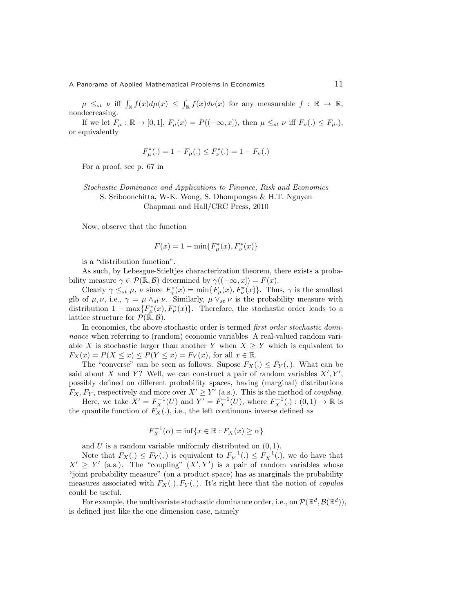$\mu \leq_{st} \nu$  iff  $\int_{\mathbb{R}} f(x) d\mu(x) \leq \int_{\mathbb{R}} f(x) d\nu(x)$  for any measurable  $f : \mathbb{R} \to \mathbb{R}$ , nondecreasing.

If we let  $F_{\mu}$  : ℝ → [0, 1],  $F_{\mu}(x) = P((-\infty, x])$ , then  $\mu \leq_{st} \nu$  iff  $F_{\nu}(.) \leq F_{\mu}$ .), or equivalently

$$
F_{\mu}^*(.) = 1 - F_{\mu}(.) \le F_{\nu}^*(.) = 1 - F_{\nu}(.)
$$

For a proof, see p. 67 in

*Stochastic Dominance and Applications to Finance, Risk and Economics* S. Sriboonchitta, W-K. Wong, S. Dhompongsa & H.T. Nguyen Chapman and Hall/CRC Press, 2010

Now, observe that the function

$$
F(x) = 1 - \min\{F_{\mu}^*(x), F_{\nu}^*(x)\}
$$

is a "distribution function".

As such, by Lebesgue-Stieltjes characterization theorem, there exists a probability measure  $\gamma \in \mathcal{P}(\mathbb{R}, \mathcal{B})$  determined by  $\gamma((-\infty, x]) = F(x)$ .

Clearly  $\gamma \leq_{st} \mu$ ,  $\nu$  since  $F^*_{\gamma}(x) = \min\{F_{\mu}(x), F^*_{\nu}(x)\}\$ . Thus,  $\gamma$  is the smallest glb of  $\mu, \nu$ , i.e.,  $\gamma = \mu \wedge_{st} \nu$ . Similarly,  $\mu \vee_{st} \nu$  is the probability measure with distribution  $1 - \max\{F^*_{\mu}(x), F^*_{\nu}(x)\}.$  Therefore, the stochastic order leads to a lattice structure for  $\mathcal{P}(\mathbb{R}, \mathcal{B})$ .

In economics, the above stochastic order is termed *first order stochastic dominance* when referring to (random) economic variables A real-valued random variable *X* is stochastic larger than another *Y* when  $X \geq Y$  which is equivalent to  $F_X(x) = P(X \le x) \le P(Y \le x) = F_Y(x)$ , for all  $x \in \mathbb{R}$ .

The "converse" can be seen as follows. Supose  $F_X(.) \leq F_Y(.)$ . What can be said about *X* and *Y*? Well, we can construct a pair of random variables  $X'$ ,  $Y'$ , possibly defined on different probability spaces, having (marginal) distributions  $F_X, F_Y$ , respectively and more over  $X' \ge Y'$  (a.s.). This is the method of *coupling*.

Here, we take  $X' = F_X^{-1}(U)$  and  $Y' = F_Y^{-1}(U)$ , where  $F_X^{-1}(.) : (0,1) \to \mathbb{R}$  is the quantile function of  $F_X(.)$ , i.e., the left continuous inverse defined as

$$
F_X^{-1}(\alpha) = \inf\{x \in \mathbb{R} : F_X(x) \ge \alpha\}
$$

and *U* is a random variable uniformly distributed on (0*,* 1).

Note that  $F_X(.) \leq F_Y(.)$  is equivalent to  $F_Y^{-1}(.) \leq F_X^{-1}(.)$ , we do have that  $X' \geq Y'$  (a.s.). The "coupling"  $(X', Y')$  is a pair of random variables whose "joint probability measure" (on a product space) has as marginals the probability measures associated with  $F_X(.)$ ,  $F_Y(.)$ . It's right here that the notion of *copulas* could be useful.

For example, the multivariate stochastic dominance order, i.e., on  $\mathcal{P}(\mathbb{R}^d, \mathcal{B}(\mathbb{R}^d)),$ is defined just like the one dimension case, namely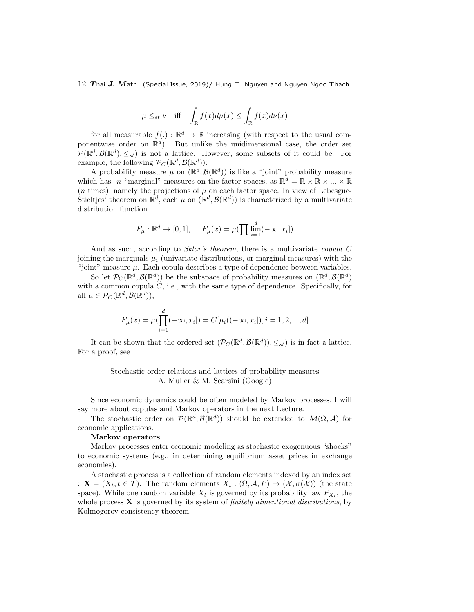$$
\mu \leq_{st} \nu
$$
 iff  $\int_{\mathbb{R}} f(x) d\mu(x) \leq \int_{\mathbb{R}} f(x) d\nu(x)$ 

for all measurable  $f(.) : \mathbb{R}^d \to \mathbb{R}$  increasing (with respect to the usual componentwise order on R *d* ). But unlike the unidimensional case, the order set  $P(\mathbb{R}^d, \mathcal{B}(\mathbb{R}^d), \leq_{st})$  is not a lattice. However, some subsets of it could be. For example, the following  $\mathcal{P}_C(\mathbb{R}^d, \mathcal{B}(\mathbb{R}^d))$ :

A probability measure  $\mu$  on  $(\mathbb{R}^d, \mathcal{B}(\mathbb{R}^d))$  is like a "joint" probability measure which has *n* "marginal" measures on the factor spaces, as  $\mathbb{R}^d = \mathbb{R} \times \mathbb{R} \times ... \times \mathbb{R}$  $(n \text{ times})$ , namely the projections of  $\mu$  on each factor space. In view of Lebesgue-Stieltjes' theorem on  $\mathbb{R}^d$ , each  $\mu$  on  $(\mathbb{R}^d, \mathcal{B}(\mathbb{R}^d))$  is characterized by a multivariate distribution function

$$
F_{\mu} : \mathbb{R}^d \to [0, 1], \quad F_{\mu}(x) = \mu(\prod_{i=1}^d (-\infty, x_i])
$$

And as such, according to *Sklar's theorem*, there is a multivariate *copula C* joining the marginals  $\mu_i$  (univariate distributions, or marginal measures) with the "joint" measure *µ*. Each copula describes a type of dependence between variables.

So let  $\mathcal{P}_C(\mathbb{R}^d, \mathcal{B}(\mathbb{R}^d))$  be the subspace of probability measures on  $(\mathbb{R}^d, \mathcal{B}(\mathbb{R}^d))$ with a common copula *C*, i.e., with the same type of dependence. Specifically, for all  $\mu \in \mathcal{P}_C(\mathbb{R}^d, \mathcal{B}(\mathbb{R}^d)),$ 

$$
F_{\mu}(x) = \mu(\prod_{i=1}^{d}(-\infty, x_i]) = C[\mu_i((-\infty, x_i]), i = 1, 2, ..., d]
$$

It can be shown that the ordered set  $(\mathcal{P}_C(\mathbb{R}^d, \mathcal{B}(\mathbb{R}^d)), \leq_{st})$  is in fact a lattice. For a proof, see

### Stochastic order relations and lattices of probability measures A. Muller & M. Scarsini (Google)

Since economic dynamics could be often modeled by Markov processes, I will say more about copulas and Markov operators in the next Lecture.

The stochastic order on  $\mathcal{P}(\mathbb{R}^d, \mathcal{B}(\mathbb{R}^d))$  should be extended to  $\mathcal{M}(\Omega, \mathcal{A})$  for economic applications.

#### **Markov operators**

Markov processes enter economic modeling as stochastic exogenuous "shocks" to economic systems (e.g., in determining equilibrium asset prices in exchange economies).

A stochastic process is a collection of random elements indexed by an index set :  $\mathbf{X} = (X_t, t \in T)$ . The random elements  $X_t : (\Omega, \mathcal{A}, P) \to (\mathcal{X}, \sigma(\mathcal{X}))$  (the state space). While one random variable  $X_t$  is governed by its probability law  $P_{X_t}$ , the whole process **X** is governed by its system of *finitely dimentional distributions*, by Kolmogorov consistency theorem.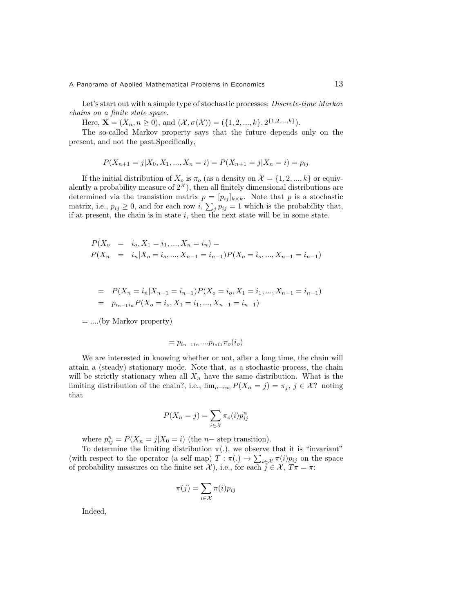Let's start out with a simple type of stochastic processes: *Discrete-time Markov chains on a finite state space.*

Here,  $\mathbf{X} = (X_n, n \ge 0)$ , and  $(\mathcal{X}, \sigma(\mathcal{X})) = (\{1, 2, ..., k\}, 2^{\{1, 2, ..., k\}}).$ 

The so-called Markov property says that the future depends only on the present, and not the past.Specifically,

$$
P(X_{n+1} = j | X_0, X_1, ..., X_n = i) = P(X_{n+1} = j | X_n = i) = p_{ij}
$$

If the initial distribution of  $X_o$  is  $\pi_o$  (as a density on  $\mathcal{X} = \{1, 2, ..., k\}$  or equivalently a probability measure of  $2^{\mathcal{X}}$ ), then all finitely dimensional distributions are determined via the transistion matrix  $p = [p_{ij}]_{k \times k}$ . Note that p is a stochastic matrix, i.e.,  $p_{ij} \geq 0$ , and for each row *i*,  $\sum_j p_{ij} = 1$  which is the probability that, if at present, the chain is in state *i*, then the next state will be in some state.

$$
P(X_0 = i_0, X_1 = i_1, ..., X_n = i_n) =
$$
  
\n
$$
P(X_n = i_n | X_0 = i_0, ..., X_{n-1} = i_{n-1}) P(X_0 = i_0, ..., X_{n-1} = i_{n-1})
$$

$$
= P(X_n = i_n | X_{n-1} = i_{n-1}) P(X_o = i_o, X_1 = i_1, ..., X_{n-1} = i_{n-1})
$$
  
=  $p_{i_{n-1}i_n} P(X_o = i_o, X_1 = i_1, ..., X_{n-1} = i_{n-1})$ 

= *....*(by Markov property)

$$
=p_{i_{n-1}i_n}...p_{i_oi_1}\pi_o(i_o)
$$

We are interested in knowing whether or not, after a long time, the chain will attain a (steady) stationary mode. Note that, as a stochastic process, the chain will be strictly stationary when all  $X_n$  have the same distribution. What is the limiting distribution of the chain?, i.e.,  $\lim_{n\to\infty} P(X_n = j) = \pi_j$ ,  $j \in \mathcal{X}$ ? noting that

$$
P(X_n = j) = \sum_{i \in \mathcal{X}} \pi_o(i) p_{ij}^n
$$

where  $p_{ij}^n = P(X_n = j | X_0 = i)$  (the *n−* step transition).

To determine the limiting distribution  $\pi(.)$ , we observe that it is "invariant" (with respect to the operator (a self map)  $T : \pi(.) \to \sum_{i \in \mathcal{X}} \pi(i) p_{ij}$  on the space of probability measures on the finite set *X*), i.e., for each  $j \in \mathcal{X}$ ,  $T\pi = \pi$ :

$$
\pi(j) = \sum_{i \in \mathcal{X}} \pi(i) p_{ij}
$$

Indeed,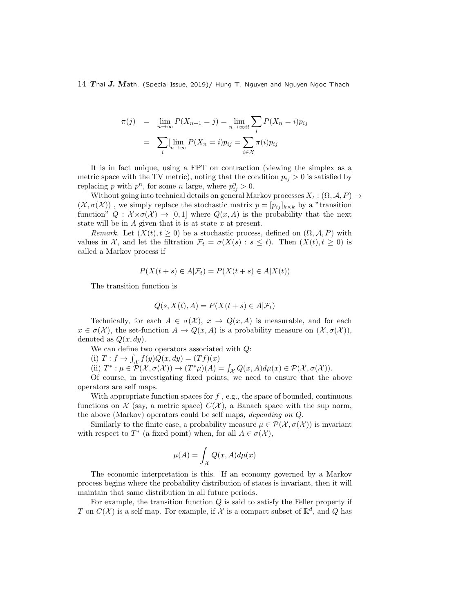$$
\pi(j) = \lim_{n \to \infty} P(X_{n+1} = j) = \lim_{n \to \infty} \sum_{i} P(X_n = i) p_{ij}
$$

$$
= \sum_{i} [\lim_{n \to \infty} P(X_n = i) p_{ij} = \sum_{i \in \mathcal{X}} \pi(i) p_{ij}
$$

It is in fact unique, using a FPT on contraction (viewing the simplex as a metric space with the TV metric), noting that the condition  $p_{ij} > 0$  is satisfied by replacing *p* with  $p^n$ , for some *n* large, where  $p_{ij}^n > 0$ .

Without going into technical details on general Markov processes  $X_t : (\Omega, \mathcal{A}, P) \to$  $(\mathcal{X}, \sigma(\mathcal{X}))$ , we simply replace the stochastic matrix  $p = [p_{ij}]_{k \times k}$  by a "transition" function"  $Q : \mathcal{X} \times \sigma(\mathcal{X}) \to [0,1]$  where  $Q(x,A)$  is the probability that the next state will be in *A* given that it is at state *x* at present.

*Remark.* Let  $(X(t), t \geq 0)$  be a stochastic process, defined on  $(\Omega, \mathcal{A}, P)$  with values in *X*, and let the filtration  $\mathcal{F}_t = \sigma(X(s) : s \leq t)$ . Then  $(X(t), t \geq 0)$  is called a Markov process if

$$
P(X(t+s) \in A | \mathcal{F}_t) = P(X(t+s) \in A | X(t))
$$

The transition function is

$$
Q(s, X(t), A) = P(X(t+s) \in A | \mathcal{F}_t)
$$

Technically, for each  $A \in \sigma(\mathcal{X})$ ,  $x \to Q(x, A)$  is measurable, and for each  $x \in \sigma(\mathcal{X})$ , the set-function  $A \to Q(x, A)$  is a probability measure on  $(\mathcal{X}, \sigma(\mathcal{X}))$ , denoted as  $Q(x, dy)$ .

We can define two operators associated with *Q*:

(i)  $T: f \to \int_{\mathcal{X}} f(y)Q(x, dy) = (Tf)(x)$ 

(ii)  $T^*: \mu \in \mathcal{P}(\mathcal{X}, \sigma(\mathcal{X})) \to (T^*\mu)(A) = \int_{\mathcal{X}} Q(x, A) d\mu(x) \in \mathcal{P}(\mathcal{X}, \sigma(\mathcal{X})).$ 

Of course, in investigating fixed points, we need to ensure that the above operators are self maps.

With appropriate function spaces for *f*, e.g., the space of bounded, continuous functions on  $\mathcal X$  (say, a metric space)  $C(\mathcal X)$ , a Banach space with the sup norm, the above (Markov) operators could be self maps*, depending on Q.*

Similarly to the finite case, a probability measure  $\mu \in \mathcal{P}(\mathcal{X}, \sigma(\mathcal{X}))$  is invariant with respect to  $T^*$  (a fixed point) when, for all  $A \in \sigma(\mathcal{X})$ ,

$$
\mu(A) = \int_{\mathcal{X}} Q(x, A) d\mu(x)
$$

The economic interpretation is this. If an economy governed by a Markov process begins where the probability distribution of states is invariant, then it will maintain that same distribution in all future periods.

For example, the transition function *Q* is said to satisfy the Feller property if *T* on  $C(\mathcal{X})$  is a self map. For example, if  $\mathcal{X}$  is a compact subset of  $\mathbb{R}^d$ , and *Q* has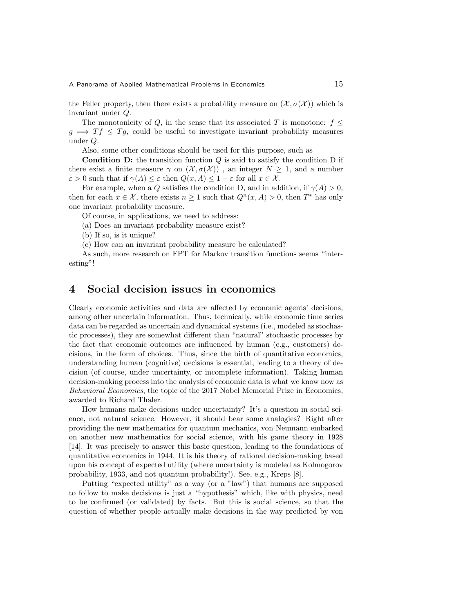the Feller property, then there exists a probability measure on  $(\mathcal{X}, \sigma(\mathcal{X}))$  which is invariant under *Q*.

The monotonicity of  $Q$ , in the sense that its associated  $T$  is monotone:  $f \leq$  $g \implies Tf \leq Tg$ , could be useful to investigate invariant probability measures under *Q*.

Also, some other conditions should be used for this purpose, such as

**Condition D:** the transition function *Q* is said to satisfy the condition D if there exist a finite measure  $\gamma$  on  $(\mathcal{X}, \sigma(\mathcal{X}))$ , an integer  $N \geq 1$ , and a number  $\varepsilon > 0$  such that if  $\gamma(A) \leq \varepsilon$  then  $Q(x, A) \leq 1 - \varepsilon$  for all  $x \in \mathcal{X}$ .

For example, when a *Q* satisfies the condition D, and in addition, if  $\gamma(A) > 0$ , then for each  $x \in \mathcal{X}$ , there exists  $n \geq 1$  such that  $Q^n(x, A) > 0$ , then  $T^*$  has only one invariant probability measure.

Of course, in applications, we need to address:

(a) Does an invariant probability measure exist?

(b) If so, is it unique?

(c) How can an invariant probability measure be calculated?

As such, more research on FPT for Markov transition functions seems "interesting"!

## **4 Social decision issues in economics**

Clearly economic activities and data are affected by economic agents' decisions, among other uncertain information. Thus, technically, while economic time series data can be regarded as uncertain and dynamical systems (i.e., modeled as stochastic processes), they are somewhat different than "natural" stochastic processes by the fact that economic outcomes are influenced by human (e.g., customers) decisions, in the form of choices. Thus, since the birth of quantitative economics, understanding human (cognitive) decisions is essential, leading to a theory of decision (of course, under uncertainty, or incomplete information). Taking human decision-making process into the analysis of economic data is what we know now as *Behavioral Economics*, the topic of the 2017 Nobel Memorial Prize in Economics, awarded to Richard Thaler.

How humans make decisions under uncertainty? It's a question in social science, not natural science. However, it should bear some analogies? Right after providing the new mathematics for quantum mechanics, von Neumann embarked on another new mathematics for social science, with his game theory in 1928 [14]. It was precisely to answer this basic question, leading to the foundations of quantitative economics in 1944. It is his theory of rational decision-making based upon his concept of expected utility (where uncertainty is modeled as Kolmogorov probability, 1933, and not quantum probability!). See, e.g., Kreps [8].

Putting "expected utility" as a way (or a "law") that humans are supposed to follow to make decisions is just a "hypothesis" which, like with physics, need to be confirmed (or validated) by facts. But this is social science, so that the question of whether people actually make decisions in the way predicted by von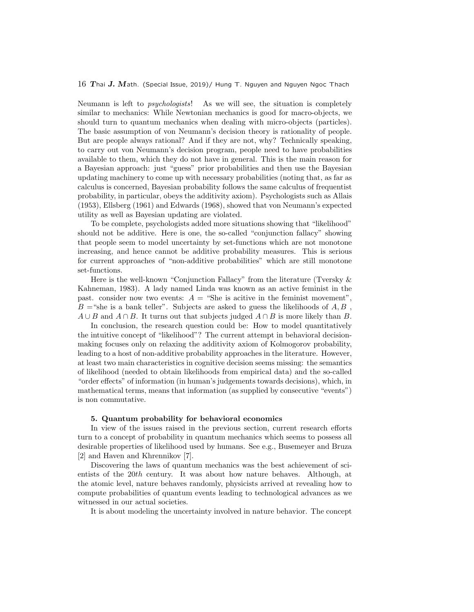Neumann is left to *psychologists*! As we will see, the situation is completely similar to mechanics: While Newtonian mechanics is good for macro-objects, we should turn to quantum mechanics when dealing with micro-objects (particles). The basic assumption of von Neumann's decision theory is rationality of people. But are people always rational? And if they are not, why? Technically speaking, to carry out von Neumann's decision program, people need to have probabilities available to them, which they do not have in general. This is the main reason for a Bayesian approach: just "guess" prior probabilities and then use the Bayesian updating machinery to come up with necessary probabilities (noting that, as far as calculus is concerned, Bayesian probability follows the same calculus of frequentist probability, in particular, obeys the additivity axiom). Psychologists such as Allais (1953), Ellsberg (1961) and Edwards (1968), showed that von Neumann's expected utility as well as Bayesian updating are violated.

To be complete, psychologists added more situations showing that "likelihood" should not be additive. Here is one, the so-called "conjunction fallacy" showing that people seem to model uncertainty by set-functions which are not monotone increasing, and hence cannot be additive probability measures. This is serious for current approaches of "non-additive probabilities" which are still monotone set-functions.

Here is the well-known "Conjunction Fallacy" from the literature (Tversky & Kahneman, 1983). A lady named Linda was known as an active feminist in the past. consider now two events:  $A =$  "She is acitive in the feminist movement",  $B =$ "she is a bank teller". Subjects are asked to guess the likelihoods of  $A, B$ ,  $A \cup B$  and  $A \cap B$ . It turns out that subjects judged  $A \cap B$  is more likely than *B*.

In conclusion, the research question could be: How to model quantitatively the intuitive concept of "likelihood"? The current attempt in behavioral decisionmaking focuses only on relaxing the additivity axiom of Kolmogorov probability, leading to a host of non-additive probability approaches in the literature. However, at least two main characteristics in cognitive decision seems missing: the semantics of likelihood (needed to obtain likelihoods from empirical data) and the so-called "order effects" of information (in human's judgements towards decisions), which, in mathematical terms, means that information (as supplied by consecutive "events") is non commutative.

#### **5. Quantum probability for behavioral economics**

In view of the issues raised in the previous section, current research efforts turn to a concept of probability in quantum mechanics which seems to possess all desirable properties of likelihood used by humans. See e.g., Busemeyer and Bruza [2] and Haven and Khrennikov [7].

Discovering the laws of quantum mechanics was the best achievement of scientists of the 20*th* century. It was about how nature behaves. Although, at the atomic level, nature behaves randomly, physicists arrived at revealing how to compute probabilities of quantum events leading to technological advances as we witnessed in our actual societies.

It is about modeling the uncertainty involved in nature behavior. The concept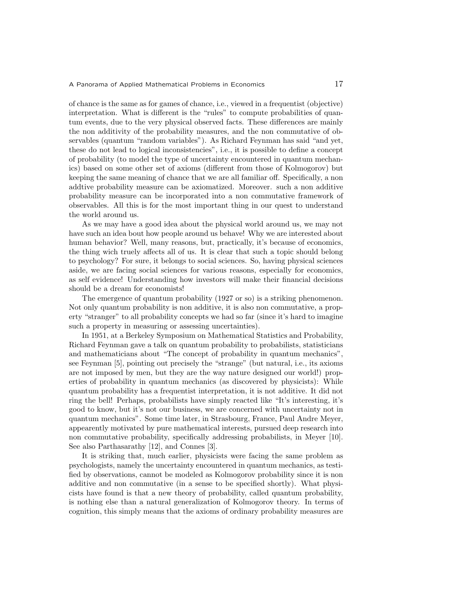of chance is the same as for games of chance, i.e., viewed in a frequentist (objective) interpretation. What is different is the "rules" to compute probabilities of quantum events, due to the very physical observed facts. These differences are mainly the non additivity of the probability measures, and the non commutative of observables (quantum "random variables"). As Richard Feynman has said "and yet, these do not lead to logical inconsistencies", i.e., it is possible to define a concept of probability (to model the type of uncertainty encountered in quantum mechanics) based on some other set of axioms (different from those of Kolmogorov) but keeping the same meaning of chance that we are all familiar off. Specifically, a non addtive probability measure can be axiomatized. Moreover. such a non additive probability measure can be incorporated into a non commutative framework of observables. All this is for the most important thing in our quest to understand the world around us.

As we may have a good idea about the physical world around us, we may not have such an idea bout how people around us behave! Why we are interested about human behavior? Well, many reasons, but, practically, it's because of economics, the thing wich truely affects all of us. It is clear that such a topic should belong to psychology? For sure, it belongs to social sciences. So, having physical sciences aside, we are facing social sciences for various reasons, especially for economics, as self evidence! Understanding how investors will make their financial decisions should be a dream for economists!

The emergence of quantum probability (1927 or so) is a striking phenomenon. Not only quantum probability is non additive, it is also non commutative, a property "stranger" to all probability concepts we had so far (since it's hard to imagine such a property in measuring or assessing uncertainties).

In 1951, at a Berkeley Symposium on Mathematical Statistics and Probability, Richard Feynman gave a talk on quantum probability to probabilists, statisticians and mathematicians about "The concept of probability in quantum mechanics", see Feynman [5], pointing out precisely the "strange" (but natural, i.e., its axioms are not imposed by men, but they are the way nature designed our world!) properties of probability in quantum mechanics (as discovered by physicists): While quantum probability has a frequentist interpretation, it is not additive. It did not ring the bell! Perhaps, probabilists have simply reacted like "It's interesting, it's good to know, but it's not our business, we are concerned with uncertainty not in quantum mechanics". Some time later, in Strasbourg, France, Paul Andre Meyer, appearently motivated by pure mathematical interests, pursued deep research into non commutative probability, specifically addressing probabilists, in Meyer [10]. See also Parthasarathy [12], and Connes [3].

It is striking that, much earlier, physicists were facing the same problem as psychologists, namely the uncertainty encountered in quantum mechanics, as testified by observations, cannot be modeled as Kolmogorov probability since it is non additive and non commutative (in a sense to be specified shortly). What physicists have found is that a new theory of probability, called quantum probability, is nothing else than a natural generalization of Kolmogorov theory. In terms of cognition, this simply means that the axioms of ordinary probability measures are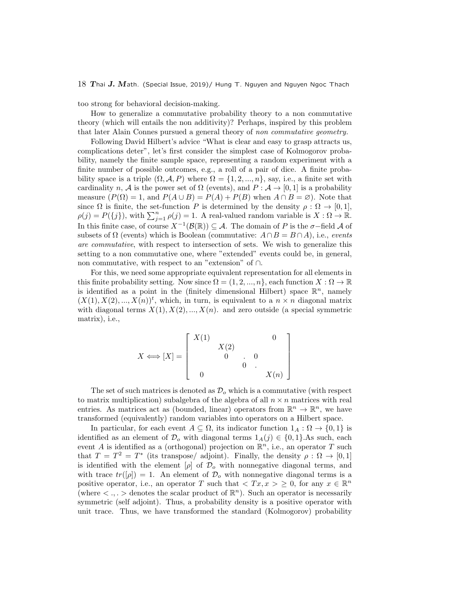too strong for behavioral decision-making.

How to generalize a commutative probability theory to a non commutative theory (which will entails the non additivity)? Perhaps, inspired by this problem that later Alain Connes pursued a general theory of *non commutative geometry.*

Following David Hilbert's advice "What is clear and easy to grasp attracts us, complications deter", let's first consider the simplest case of Kolmogorov probability, namely the finite sample space, representing a random experiment with a finite number of possible outcomes, e.g., a roll of a pair of dice. A finite probability space is a triple  $(\Omega, \mathcal{A}, P)$  where  $\Omega = \{1, 2, ..., n\}$ , say, i.e., a finite set with cardinality *n*, *A* is the power set of  $\Omega$  (events), and  $P : A \rightarrow [0, 1]$  is a probability measure  $(P(\Omega) = 1$ , and  $P(A \cup B) = P(A) + P(B)$  when  $A \cap B = \emptyset$ ). Note that since  $\Omega$  is finite, the set-function *P* is determined by the density  $\rho : \Omega \to [0,1],$  $\rho(j) = P(\{j\})$ , with  $\sum_{j=1}^{n} \rho(j) = 1$ . A real-valued random variable is  $X : \Omega \to \mathbb{R}$ . In this finite case, of course *X−*<sup>1</sup> (*B*(R)) *⊆ A*. The domain of *P* is the *σ−*field *A* of subsets of  $\Omega$  (events) which is Boolean (commutative:  $A \cap B = B \cap A$ ), i.e., *events are commutative*, with respect to intersection of sets. We wish to generalize this setting to a non commutative one, where "extended" events could be, in general, non commutative, with respect to an "extension" of *∩*.

For this, we need some appropriate equivalent representation for all elements in this finite probability setting. Now since  $\Omega = \{1, 2, ..., n\}$ , each function  $X : \Omega \to \mathbb{R}$ is identified as a point in the (finitely dimensional Hilbert) space  $\mathbb{R}^n$ , namely  $(X(1), X(2), ..., X(n))$ <sup>t</sup>, which, in turn, is equivalent to a  $n \times n$  diagonal matrix with diagonal terms  $X(1), X(2), ..., X(n)$ . and zero outside (a special symmetric matrix), i.e.,

$$
X \Longleftrightarrow [X] = \begin{bmatrix} X(1) & & 0 \\ & X(2) & & 0 \\ & 0 & & 0 \\ & & & 0 \end{bmatrix}
$$

The set of such matrices is denoted as  $\mathcal{D}_{o}$  which is a commutative (with respect to matrix multiplication) subalgebra of the algebra of all  $n \times n$  matrices with real entries. As matrices act as (bounded, linear) operators from  $\mathbb{R}^n \to \mathbb{R}^n$ , we have transformed (equivalently) random variables into operators on a Hilbert space.

In particular, for each event  $A \subseteq \Omega$ , its indicator function  $1_A : \Omega \to \{0,1\}$  is identified as an element of  $\mathcal{D}_o$  with diagonal terms  $1_A(j) \in \{0,1\}$ *.As* such, each event *A* is identified as a (orthogonal) projection on R *<sup>n</sup>*, i.e., an operator *T* such that  $T = T^2 = T^*$  (its transpose/ adjoint). Finally, the density  $\rho : \Omega \to [0,1]$ is identified with the element  $[\rho]$  of  $\mathcal{D}_o$  with nonnegative diagonal terms, and with trace  $tr([\rho]) = 1$ . An element of  $\mathcal{D}_{\rho}$  with nonnegative diagonal terms is a positive operator, i.e., an operator *T* such that  $\langle Tx, x \rangle \geq 0$ , for any  $x \in \mathbb{R}^n$ (where  $\lt$ ,  $\lt$   $\gt$  denotes the scalar product of  $\mathbb{R}^n$ ). Such an operator is necessarily symmetric (self adjoint). Thus, a probability density is a positive operator with unit trace. Thus, we have transformed the standard (Kolmogorov) probability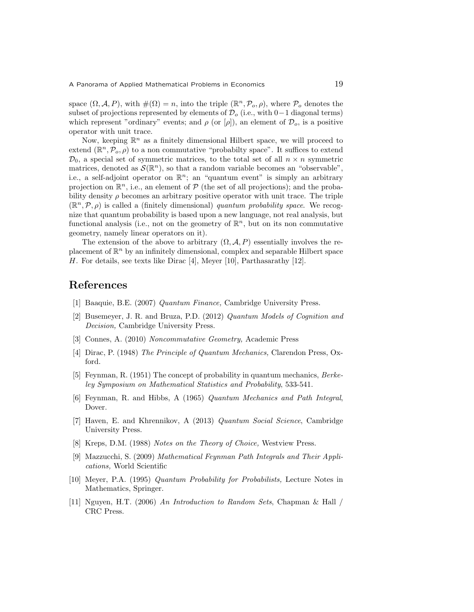space  $(\Omega, \mathcal{A}, P)$ , with  $\#(\Omega) = n$ , into the triple  $(\mathbb{R}^n, \mathcal{P}_o, \rho)$ , where  $\mathcal{P}_o$  denotes the subset of projections represented by elements of *D<sup>o</sup>* (i.e., with 0*−*1 diagonal terms) which represent "ordinary" events; and  $\rho$  (or  $[\rho]$ ), an element of  $\mathcal{D}_o$ , is a positive operator with unit trace.

Now, keeping  $\mathbb{R}^n$  as a finitely dimensional Hilbert space, we will proceed to extend  $(\mathbb{R}^n, \mathcal{P}_o, \rho)$  to a non commutative "probabilty space". It suffices to extend  $\mathcal{D}_0$ , a special set of symmetric matrices, to the total set of all  $n \times n$  symmetric matrices, denoted as  $\mathcal{S}(\mathbb{R}^n)$ , so that a random variable becomes an "observable", i.e., a self-adjoint operator on  $\mathbb{R}^n$ ; an "quantum event" is simply an arbitrary projection on  $\mathbb{R}^n$ , i.e., an element of  $P$  (the set of all projections); and the probability density  $\rho$  becomes an arbitrary positive operator with unit trace. The triple  $(\mathbb{R}^n, \mathcal{P}, \rho)$  is called a (finitely dimensional) *quantum probability space*. We recognize that quantum probability is based upon a new language, not real analysis, but functional analysis (i.e., not on the geometry of  $\mathbb{R}^n$ , but on its non commutative geometry, namely linear operators on it).

The extension of the above to arbitrary  $(\Omega, \mathcal{A}, P)$  essentially involves the replacement of R *<sup>n</sup>* by an infinitely dimensional, complex and separable Hilbert space *H*. For details, see texts like Dirac [4], Meyer [10], Parthasarathy [12].

## **References**

- [1] Baaquie, B.E. (2007) *Quantum Finance,* Cambridge University Press.
- [2] Busemeyer, J. R. and Bruza, P.D. (2012) *Quantum Models of Cognition and Decision,* Cambridge University Press.
- [3] Connes, A. (2010) *Noncommutative Geometry,* Academic Press
- [4] Dirac, P. (1948) *The Principle of Quantum Mechanics,* Clarendon Press, Oxford.
- [5] Feynman, R. (1951) The concept of probability in quantum mechanics, *Berkeley Symposium on Mathematical Statistics and Probability*, 533-541.
- [6] Feynman, R. and Hibbs, A (1965) *Quantum Mechanics and Path Integral*, Dover.
- [7] Haven, E. and Khrennikov, A (2013) *Quantum Social Science*, Cambridge University Press.
- [8] Kreps, D.M. (1988) *Notes on the Theory of Choice,* Westview Press.
- [9] Mazzucchi, S. (2009) *Mathematical Feynman Path Integrals and Their Applications,* World Scientific
- [10] Meyer, P.A. (1995) *Quantum Probability for Probabilists,* Lecture Notes in Mathematics, Springer.
- [11] Nguyen, H.T. (2006) *An Introduction to Random Sets*, Chapman & Hall / CRC Press.